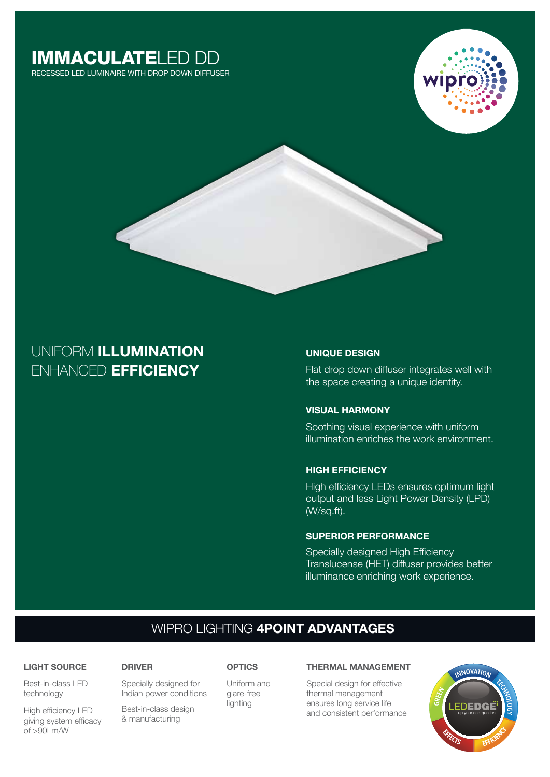# IMMACULATELED DD

RECESSED LED LUMINAIRE WITH DROP DOWN DIFFUSER





# ENHANCED **EFFICIENCY** UNIFORM **ILLUMINATION**

# **UNIQUE DESIGN**

Flat drop down diffuser integrates well with the space creating a unique identity.

## **VISUAL HARMONY**

Soothing visual experience with uniform illumination enriches the work environment.

# **HIGH EFFICIENCY**

High efficiency LEDs ensures optimum light output and less Light Power Density (LPD) (W/sq.ft).

## **SUPERIOR PERFORMANCE**

Specially designed High Efficiency Translucense (HET) diffuser provides better illuminance enriching work experience.

# WIPRO LIGHTING **4POINT ADVANTAGES**

# Best-in-class LED **LIGHT SOURCE**

High efficiency LED giving system efficacy

technology

of >90Lm/W

Specially designed for Indian power conditions

Best-in-class design & manufacturing

# **DRIVER OPTICS**

Uniform and glare-free lighting

#### **THERMAL MANAGEMENT**

Special design for effective thermal management ensures long service life and consistent performance